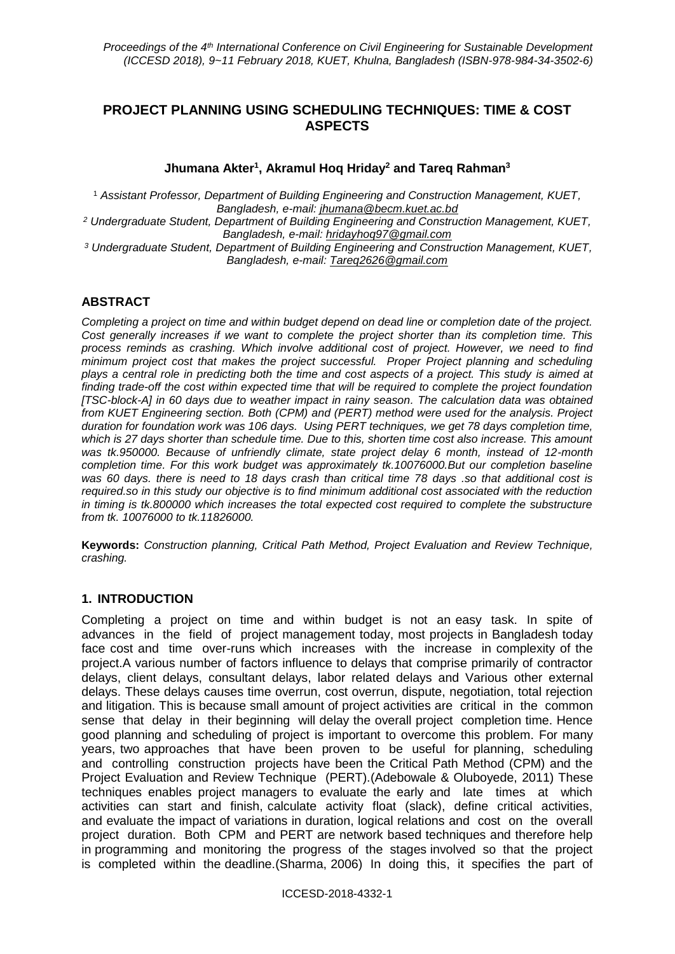# **PROJECT PLANNING USING SCHEDULING TECHNIQUES: TIME & COST ASPECTS**

### **Jhumana Akter<sup>1</sup> , Akramul Hoq Hriday<sup>2</sup> and Tareq Rahman<sup>3</sup>**

<sup>1</sup> *Assistant Professor, Department of Building Engineering and Construction Management, KUET, Bangladesh, e-mail: jhumana@becm.kuet.ac.bd <sup>2</sup> Undergraduate Student, Department of Building Engineering and Construction Management, KUET, Bangladesh, e-mail: hridayhoq97@gmail.com <sup>3</sup> Undergraduate Student, Department of Building Engineering and Construction Management, KUET,* 

*Bangladesh, e-mail: Tareq2626@gmail.com*

# **ABSTRACT**

*Completing a project on time and within budget depend on dead line or completion date of the project. Cost generally increases if we want to complete the project shorter than its completion time. This process reminds as crashing. Which involve additional cost of project. However, we need to find minimum project cost that makes the project successful. Proper Project planning and scheduling plays a central role in predicting both the time and cost aspects of a project. This study is aimed at finding trade-off the cost within expected time that will be required to complete the project foundation [TSC-block-A] in 60 days due to weather impact in rainy season. The calculation data was obtained from KUET Engineering section. Both (CPM) and (PERT) method were used for the analysis. Project duration for foundation work was 106 days. Using PERT techniques, we get 78 days completion time, which is 27 days shorter than schedule time. Due to this, shorten time cost also increase. This amount was tk.950000. Because of unfriendly climate, state project delay 6 month, instead of 12-month completion time. For this work budget was approximately tk.10076000.But our completion baseline was 60 days. there is need to 18 days crash than critical time 78 days .so that additional cost is required.so in this study our objective is to find minimum additional cost associated with the reduction in timing is tk.800000 which increases the total expected cost required to complete the substructure from tk. 10076000 to tk.11826000.*

**Keywords:** *Construction planning, Critical Path Method, Project Evaluation and Review Technique, crashing.*

#### **1. INTRODUCTION**

Completing a project on time and within budget is not an easy task. In spite of advances in the field of project management today, most projects in Bangladesh today face cost and time over-runs which increases with the increase in complexity of the project.A various number of factors influence to delays that comprise primarily of contractor delays, client delays, consultant delays, labor related delays and Various other external delays. These delays causes time overrun, cost overrun, dispute, negotiation, total rejection and litigation. This is because small amount of project activities are critical in the common sense that delay in their beginning will delay the overall project completion time. Hence good planning and scheduling of project is important to overcome this problem. For many years, two approaches that have been proven to be useful for planning, scheduling and controlling construction projects have been the Critical Path Method (CPM) and the Project Evaluation and Review Technique (PERT).(Adebowale & Oluboyede, 2011) These techniques enables project managers to evaluate the early and late times at which activities can start and finish, calculate activity float (slack), define critical activities, and evaluate the impact of variations in duration, logical relations and cost on the overall project duration. Both CPM and PERT are network based techniques and therefore help in programming and monitoring the progress of the stages involved so that the project is completed within the deadline.(Sharma, 2006) In doing this, it specifies the part of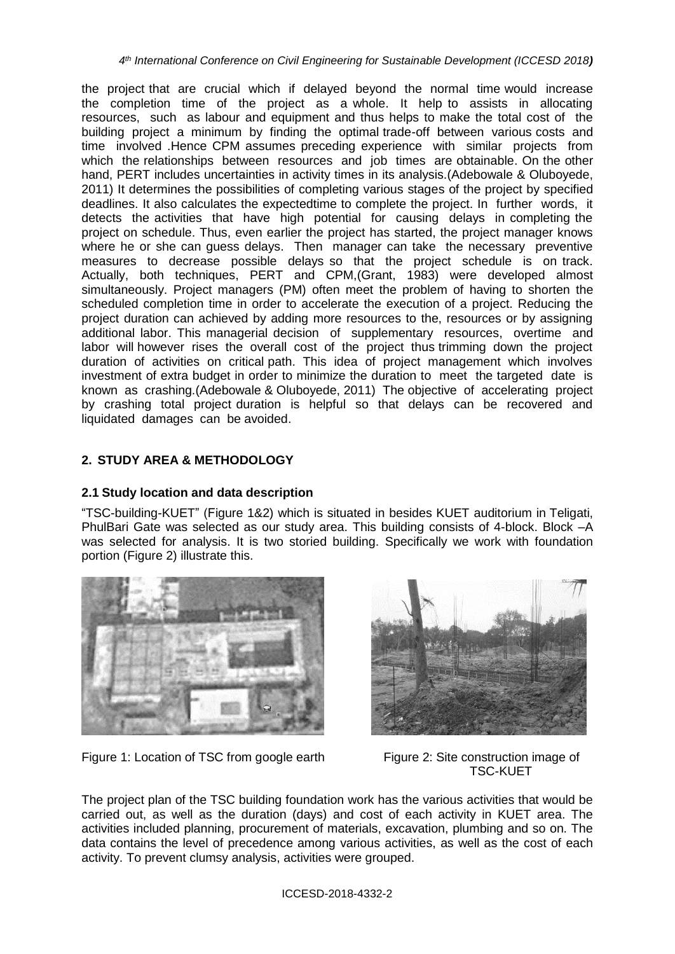the project that are crucial which if delayed beyond the normal time would increase the completion time of the project as a whole. It help to assists in allocating resources, such as labour and equipment and thus helps to make the total cost of the building project a minimum by finding the optimal trade-off between various costs and time involved .Hence CPM assumes preceding experience with similar projects from which the relationships between resources and job times are obtainable. On the other hand, PERT includes uncertainties in activity times in its analysis.(Adebowale & Oluboyede, 2011) It determines the possibilities of completing various stages of the project by specified deadlines. It also calculates the expectedtime to complete the project. In further words, it detects the activities that have high potential for causing delays in completing the project on schedule. Thus, even earlier the project has started, the project manager knows where he or she can guess delays. Then manager can take the necessary preventive measures to decrease possible delays so that the project schedule is on track. Actually, both techniques, PERT and CPM,(Grant, 1983) were developed almost simultaneously. Project managers (PM) often meet the problem of having to shorten the scheduled completion time in order to accelerate the execution of a project. Reducing the project duration can achieved by adding more resources to the, resources or by assigning additional labor. This managerial decision of supplementary resources, overtime and labor will however rises the overall cost of the project thus trimming down the project duration of activities on critical path. This idea of project management which involves investment of extra budget in order to minimize the duration to meet the targeted date is known as crashing.(Adebowale & Oluboyede, 2011) The objective of accelerating project by crashing total project duration is helpful so that delays can be recovered and liquidated damages can be avoided.

# **2. STUDY AREA & METHODOLOGY**

## **2.1 Study location and data description**

"TSC-building-KUET" (Figure 1&2) which is situated in besides KUET auditorium in Teligati, PhulBari Gate was selected as our study area. This building consists of 4-block. Block –A was selected for analysis. It is two storied building. Specifically we work with foundation portion (Figure 2) illustrate this.



Figure 1: Location of TSC from google earth Figure 2: Site construction image of



TSC-KUET

The project plan of the TSC building foundation work has the various activities that would be carried out, as well as the duration (days) and cost of each activity in KUET area. The activities included planning, procurement of materials, excavation, plumbing and so on. The data contains the level of precedence among various activities, as well as the cost of each activity. To prevent clumsy analysis, activities were grouped.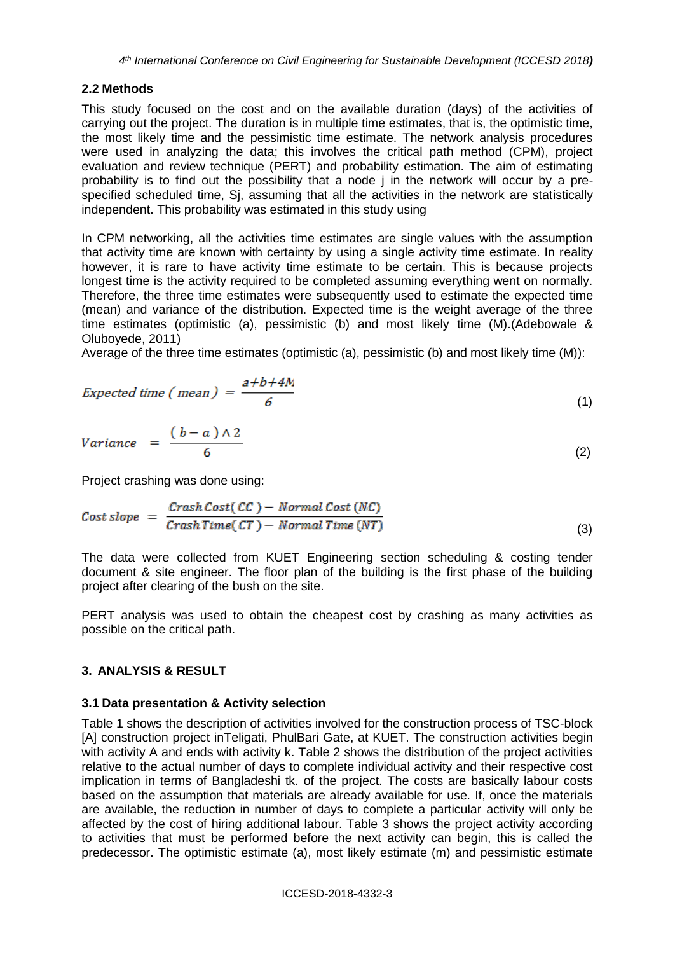#### **2.2 Methods**

This study focused on the cost and on the available duration (days) of the activities of carrying out the project. The duration is in multiple time estimates, that is, the optimistic time, the most likely time and the pessimistic time estimate. The network analysis procedures were used in analyzing the data; this involves the critical path method (CPM), project evaluation and review technique (PERT) and probability estimation. The aim of estimating probability is to find out the possibility that a node j in the network will occur by a prespecified scheduled time, Sj, assuming that all the activities in the network are statistically independent. This probability was estimated in this study using

In CPM networking, all the activities time estimates are single values with the assumption that activity time are known with certainty by using a single activity time estimate. In reality however, it is rare to have activity time estimate to be certain. This is because projects longest time is the activity required to be completed assuming everything went on normally. Therefore, the three time estimates were subsequently used to estimate the expected time (mean) and variance of the distribution. Expected time is the weight average of the three time estimates (optimistic (a), pessimistic (b) and most likely time (M).(Adebowale & Oluboyede, 2011)

Average of the three time estimates (optimistic (a), pessimistic (b) and most likely time  $(M)$ ):

Expected time ( mean) = 
$$
\frac{a+b+4M}{6}
$$
 (1)

(2)

Project crashing was done using:

$$
Cost slope = \frac{CrashCost(CC) - Normal Cost(NC)}{CrashTime(CT) - Normal Time(NT)}
$$
\n(3)

The data were collected from KUET Engineering section scheduling & costing tender document & site engineer. The floor plan of the building is the first phase of the building project after clearing of the bush on the site.

PERT analysis was used to obtain the cheapest cost by crashing as many activities as possible on the critical path.

#### **3. ANALYSIS & RESULT**

#### **3.1 Data presentation & Activity selection**

Table 1 shows the description of activities involved for the construction process of TSC-block [A] construction project inTeligati, PhulBari Gate, at KUET. The construction activities begin with activity A and ends with activity k. Table 2 shows the distribution of the project activities relative to the actual number of days to complete individual activity and their respective cost implication in terms of Bangladeshi tk. of the project. The costs are basically labour costs based on the assumption that materials are already available for use. If, once the materials are available, the reduction in number of days to complete a particular activity will only be affected by the cost of hiring additional labour. Table 3 shows the project activity according to activities that must be performed before the next activity can begin, this is called the predecessor. The optimistic estimate (a), most likely estimate (m) and pessimistic estimate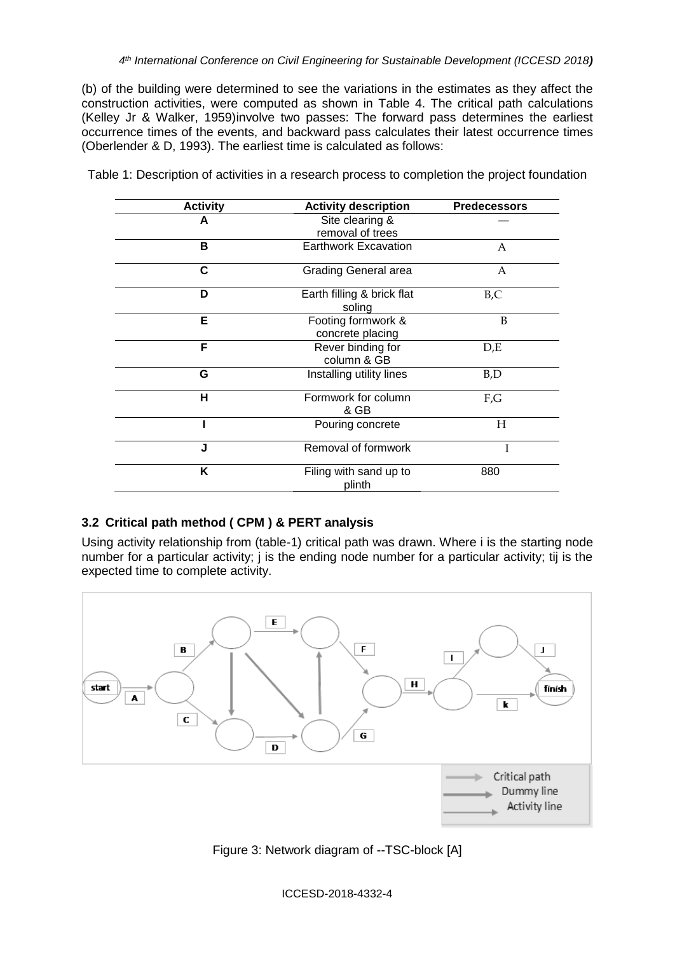(b) of the building were determined to see the variations in the estimates as they affect the construction activities, were computed as shown in Table 4. The critical path calculations (Kelley Jr & Walker, 1959)involve two passes: The forward pass determines the earliest occurrence times of the events, and backward pass calculates their latest occurrence times (Oberlender & D, 1993). The earliest time is calculated as follows:

| <b>Activity</b> | <b>Activity description</b>            | <b>Predecessors</b> |
|-----------------|----------------------------------------|---------------------|
| А               | Site clearing &<br>removal of trees    |                     |
| в               | <b>Earthwork Excavation</b>            | А                   |
| C               | Grading General area                   | А                   |
| D               | Earth filling & brick flat<br>soling   | B, C                |
| Е               | Footing formwork &<br>concrete placing | B                   |
| F               | Rever binding for<br>column & GB       | D,E                 |
| G               | Installing utility lines               | B,D                 |
| н               | Formwork for column<br>& GB            | F,G                 |
|                 | Pouring concrete                       | Н                   |
| J               | Removal of formwork                    |                     |
| Κ               | Filing with sand up to<br>plinth       | 880                 |

Table 1: Description of activities in a research process to completion the project foundation

#### **3.2 Critical path method ( CPM ) & PERT analysis**

Using activity relationship from (table-1) critical path was drawn. Where i is the starting node number for a particular activity; j is the ending node number for a particular activity; tij is the expected time to complete activity.



Figure 3: Network diagram of --TSC-block [A]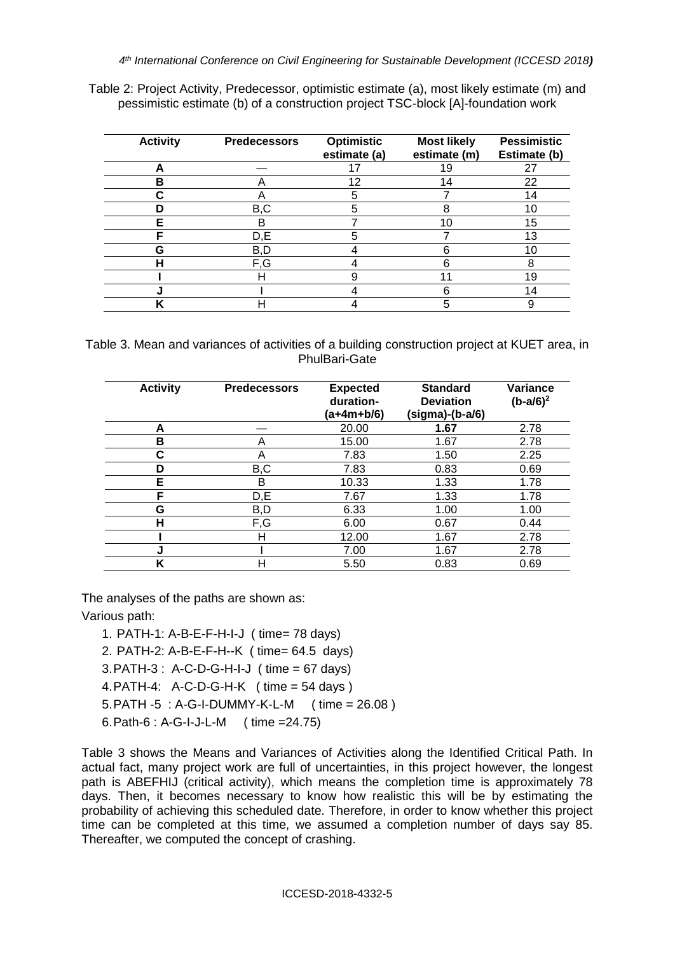| Table 2: Project Activity, Predecessor, optimistic estimate (a), most likely estimate (m) and |  |
|-----------------------------------------------------------------------------------------------|--|
| pessimistic estimate (b) of a construction project TSC-block [A]-foundation work              |  |

| <b>Activity</b> | <b>Predecessors</b> | Optimistic<br>estimate (a) | <b>Most likely</b><br>estimate (m) | <b>Pessimistic</b><br>Estimate (b) |
|-----------------|---------------------|----------------------------|------------------------------------|------------------------------------|
|                 |                     |                            | 19                                 | 27                                 |
| в               |                     | 12                         | 14                                 | 22                                 |
|                 |                     |                            |                                    | 14                                 |
|                 | B,C                 | 5                          |                                    | 10                                 |
| F               | в                   |                            | 10                                 | 15                                 |
| с               | D,E                 |                            |                                    | 13                                 |
| G               | B,D                 |                            | 6                                  | 10                                 |
|                 | F,G                 |                            |                                    | 8                                  |
|                 | н                   |                            |                                    | 19                                 |
|                 |                     |                            |                                    | 14                                 |
|                 |                     |                            | 5                                  | 9                                  |

Table 3. Mean and variances of activities of a building construction project at KUET area, in PhulBari-Gate

| <b>Activity</b> | <b>Predecessors</b> | <b>Expected</b><br>duration-<br>(a+4m+b/6) | <b>Standard</b><br><b>Deviation</b><br>(sigma)-(b-a/6) | Variance<br>$(b-a/6)^2$ |
|-----------------|---------------------|--------------------------------------------|--------------------------------------------------------|-------------------------|
| А               |                     | 20.00                                      | 1.67                                                   | 2.78                    |
| в               | А                   | 15.00                                      | 1.67                                                   | 2.78                    |
| r.              | A                   | 7.83                                       | 1.50                                                   | 2.25                    |
| D               | B,C                 | 7.83                                       | 0.83                                                   | 0.69                    |
| Е               | в                   | 10.33                                      | 1.33                                                   | 1.78                    |
| E               | D,E                 | 7.67                                       | 1.33                                                   | 1.78                    |
| G               | B,D                 | 6.33                                       | 1.00                                                   | 1.00                    |
| н               | F,G                 | 6.00                                       | 0.67                                                   | 0.44                    |
|                 | н                   | 12.00                                      | 1.67                                                   | 2.78                    |
| J               |                     | 7.00                                       | 1.67                                                   | 2.78                    |
| Κ               | н                   | 5.50                                       | 0.83                                                   | 0.69                    |

The analyses of the paths are shown as:

Various path:

- 1. PATH-1: A-B-E-F-H-I-J ( time= 78 days)
- 2. PATH-2: A-B-E-F-H--K ( time= 64.5 days)
- 3.PATH-3 : A-C-D-G-H-I-J ( time = 67 days)
- 4.PATH-4: A-C-D-G-H-K ( time = 54 days )
- 5.PATH -5 : A-G-I-DUMMY-K-L-M ( time = 26.08 )
- 6.Path-6 : A-G-I-J-L-M ( time =24.75)

Table 3 shows the Means and Variances of Activities along the Identified Critical Path. In actual fact, many project work are full of uncertainties, in this project however, the longest path is ABEFHIJ (critical activity), which means the completion time is approximately 78 days. Then, it becomes necessary to know how realistic this will be by estimating the probability of achieving this scheduled date. Therefore, in order to know whether this project time can be completed at this time, we assumed a completion number of days say 85. Thereafter, we computed the concept of crashing.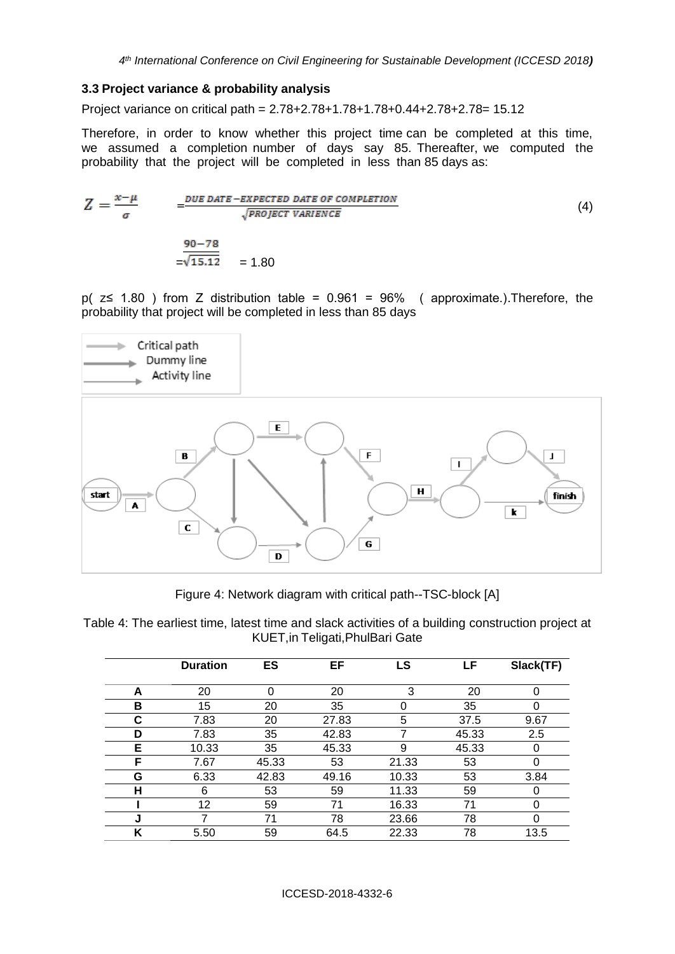#### **3.3 Project variance & probability analysis**

Project variance on critical path = 2.78+2.78+1.78+1.78+0.44+2.78+2.78= 15.12

Therefore, in order to know whether this project time can be completed at this time, we assumed a completion number of days say 85. Thereafter, we computed the probability that the project will be completed in less than 85 days as:

$$
Z = \frac{x - \mu}{\sigma} = \frac{DUE\ DATE - EXPECTED\ DATE\ OF\ COMPLETION}{\sqrt{PROJECT\ VARIENCE}}
$$
\n
$$
= \frac{90 - 78}{\sqrt{15.12}} = 1.80
$$
\n(4)

p(  $z \le 1.80$  ) from Z distribution table = 0.961 = 96% (approximate.). Therefore, the probability that project will be completed in less than 85 days



Figure 4: Network diagram with critical path--TSC-block [A]

Table 4: The earliest time, latest time and slack activities of a building construction project at KUET,in Teligati,PhulBari Gate

|   | <b>Duration</b> | ES    | EF    | LS    | LF    | Slack(TF) |
|---|-----------------|-------|-------|-------|-------|-----------|
| A | 20              | 0     | 20    | 3     | 20    | 0         |
| в | 15              | 20    | 35    | 0     | 35    |           |
| С | 7.83            | 20    | 27.83 | 5     | 37.5  | 9.67      |
| D | 7.83            | 35    | 42.83 |       | 45.33 | 2.5       |
| Е | 10.33           | 35    | 45.33 | 9     | 45.33 | 0         |
| F | 7.67            | 45.33 | 53    | 21.33 | 53    | 0         |
| G | 6.33            | 42.83 | 49.16 | 10.33 | 53    | 3.84      |
| н | 6               | 53    | 59    | 11.33 | 59    | 0         |
|   | 12              | 59    | 71    | 16.33 | 71    | 0         |
| J | 7               | 71    | 78    | 23.66 | 78    | 0         |
| Κ | 5.50            | 59    | 64.5  | 22.33 | 78    | 13.5      |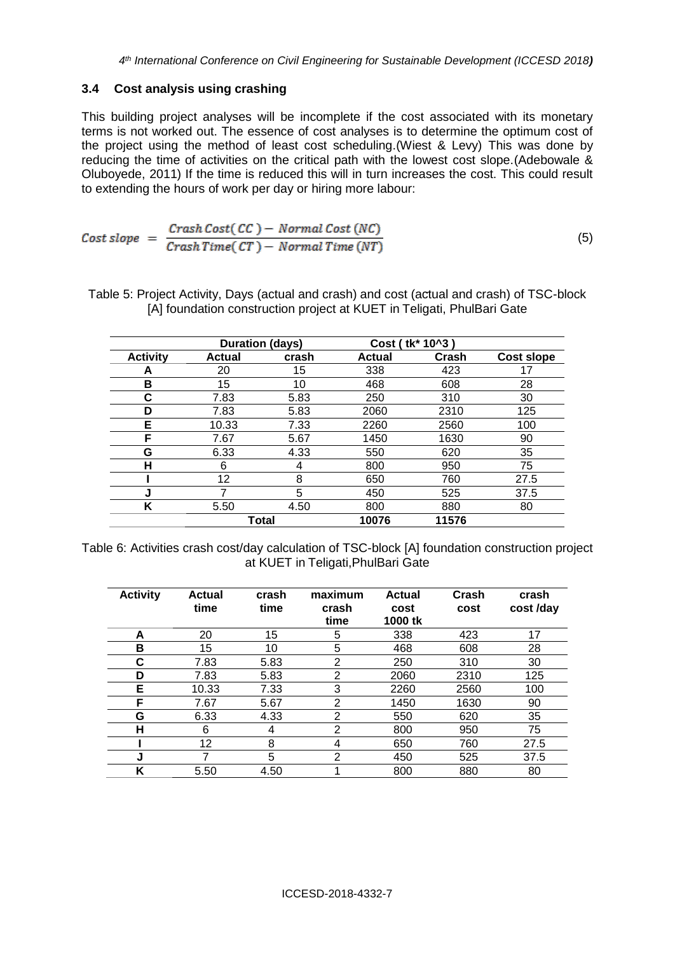#### **3.4 Cost analysis using crashing**

This building project analyses will be incomplete if the cost associated with its monetary terms is not worked out. The essence of cost analyses is to determine the optimum cost of the project using the method of least cost scheduling.(Wiest & Levy) This was done by reducing the time of activities on the critical path with the lowest cost slope.(Adebowale & Oluboyede, 2011) If the time is reduced this will in turn increases the cost. This could result to extending the hours of work per day or hiring more labour:

$$
Cost slope = \frac{Crash Cost(CC) - Normal Cost(NC)}{CrashTime(CT) - Normal Time(NT)}
$$
(5)

Table 5: Project Activity, Days (actual and crash) and cost (actual and crash) of TSC-block [A] foundation construction project at KUET in Teligati, PhulBari Gate

|                 | <b>Duration (days)</b> |                  |               | Cost (tk* 10^3) |                   |
|-----------------|------------------------|------------------|---------------|-----------------|-------------------|
| <b>Activity</b> | <b>Actual</b>          | crash            | <b>Actual</b> | Crash           | <b>Cost slope</b> |
| A               | 20                     | 15 <sub>15</sub> | 338           | 423             |                   |
| в               | 15                     | 10               | 468           | 608             | 28                |
| С               | 7.83                   | 5.83             | 250           | 310             | 30                |
| D               | 7.83                   | 5.83             | 2060          | 2310            | 125               |
| Е               | 10.33                  | 7.33             | 2260          | 2560            | 100               |
| F               | 7.67                   | 5.67             | 1450          | 1630            | 90                |
| G               | 6.33                   | 4.33             | 550           | 620             | 35                |
| н               | 6                      | 4                | 800           | 950             | 75                |
|                 | 12                     | 8                | 650           | 760             | 27.5              |
| J               |                        | 5                | 450           | 525             | 37.5              |
| Κ               | 5.50                   | 4.50             | 800           | 880             | 80                |
|                 | Total                  |                  | 10076         | 11576           |                   |

Table 6: Activities crash cost/day calculation of TSC-block [A] foundation construction project at KUET in Teligati,PhulBari Gate

| <b>Activity</b> | <b>Actual</b><br>time | crash<br>time | maximum<br>crash<br>time | <b>Actual</b><br>cost<br>1000 tk | Crash<br>cost | crash<br>cost /day |
|-----------------|-----------------------|---------------|--------------------------|----------------------------------|---------------|--------------------|
| A               | 20                    | 15            | 5                        | 338                              | 423           | 17                 |
| в               | 15                    | 10            | 5                        | 468                              | 608           | 28                 |
| С               | 7.83                  | 5.83          | 2                        | 250                              | 310           | 30                 |
| D               | 7.83                  | 5.83          | $\overline{2}$           | 2060                             | 2310          | 125                |
| Е               | 10.33                 | 7.33          | 3                        | 2260                             | 2560          | 100                |
| F               | 7.67                  | 5.67          | 2                        | 1450                             | 1630          | 90                 |
| G               | 6.33                  | 4.33          | 2                        | 550                              | 620           | 35                 |
| н               | 6                     | 4             | $\overline{2}$           | 800                              | 950           | 75                 |
|                 | 12                    | 8             | 4                        | 650                              | 760           | 27.5               |
| J               | 7                     | 5             | $\overline{2}$           | 450                              | 525           | 37.5               |
| ĸ               | 5.50                  | 4.50          |                          | 800                              | 880           | 80                 |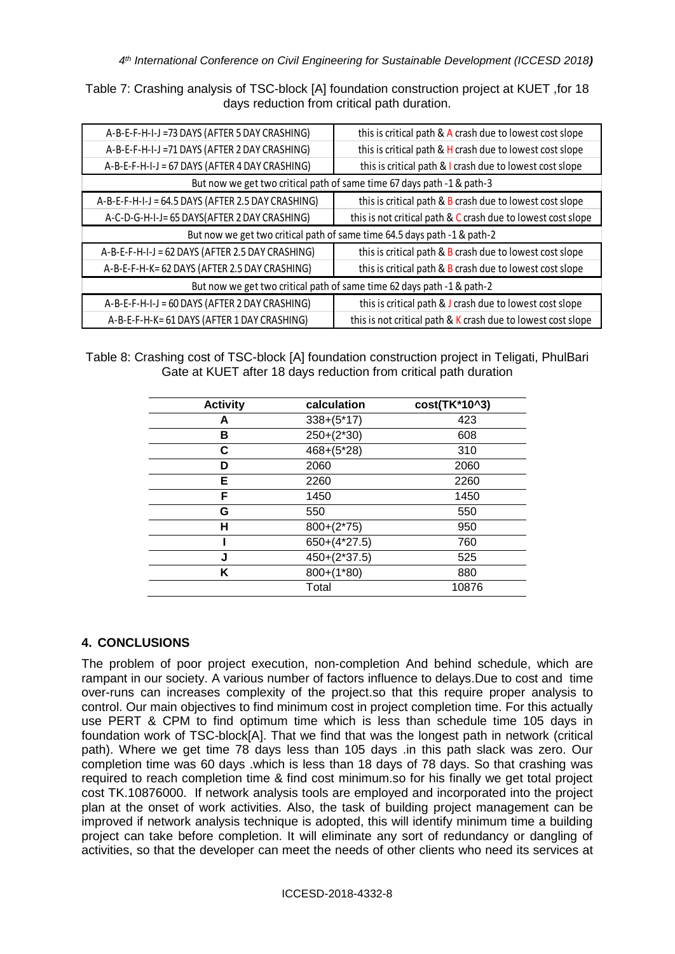Table 7: Crashing analysis of TSC-block [A] foundation construction project at KUET ,for 18 days reduction from critical path duration.

| A-B-E-F-H-I-J =73 DAYS (AFTER 5 DAY CRASHING)                            | this is critical path & A crash due to lowest cost slope               |  |  |  |
|--------------------------------------------------------------------------|------------------------------------------------------------------------|--|--|--|
| A-B-E-F-H-I-J =71 DAYS (AFTER 2 DAY CRASHING)                            | this is critical path & H crash due to lowest cost slope               |  |  |  |
| A-B-E-F-H-I-J = 67 DAYS (AFTER 4 DAY CRASHING)                           | this is critical path & I crash due to lowest cost slope               |  |  |  |
|                                                                          | But now we get two critical path of same time 67 days path -1 & path-3 |  |  |  |
| A-B-E-F-H-I-J = 64.5 DAYS (AFTER 2.5 DAY CRASHING)                       | this is critical path & B crash due to lowest cost slope               |  |  |  |
| A-C-D-G-H-I-J= 65 DAYS(AFTER 2 DAY CRASHING)                             | this is not critical path & C crash due to lowest cost slope           |  |  |  |
| But now we get two critical path of same time 64.5 days path -1 & path-2 |                                                                        |  |  |  |
| A-B-E-F-H-I-J = 62 DAYS (AFTER 2.5 DAY CRASHING)                         | this is critical path & B crash due to lowest cost slope               |  |  |  |
| A-B-E-F-H-K= 62 DAYS (AFTER 2.5 DAY CRASHING)                            | this is critical path & B crash due to lowest cost slope               |  |  |  |
| But now we get two critical path of same time 62 days path -1 & path-2   |                                                                        |  |  |  |
| A-B-E-F-H-I-J = 60 DAYS (AFTER 2 DAY CRASHING)                           | this is critical path & J crash due to lowest cost slope               |  |  |  |
| A-B-E-F-H-K= 61 DAYS (AFTER 1 DAY CRASHING)                              | this is not critical path & K crash due to lowest cost slope           |  |  |  |

Table 8: Crashing cost of TSC-block [A] foundation construction project in Teligati, PhulBari Gate at KUET after 18 days reduction from critical path duration

| <b>Activity</b> | calculation    | cost(TK*10^3) |
|-----------------|----------------|---------------|
| А               | $338+(5*17)$   | 423           |
| в               | $250+(2*30)$   | 608           |
| С               | $468 + (5*28)$ | 310           |
| D               | 2060           | 2060          |
| Е               | 2260           | 2260          |
| F               | 1450           | 1450          |
| G               | 550            | 550           |
| н               | $800+(2*75)$   | 950           |
|                 | $650+(4*27.5)$ | 760           |
| J               | $450+(2*37.5)$ | 525           |
| Κ               | $800+(1*80)$   | 880           |
|                 | Total          | 10876         |

## **4. CONCLUSIONS**

The problem of poor project execution, non-completion And behind schedule, which are rampant in our society. A various number of factors influence to delays.Due to cost and time over-runs can increases complexity of the project.so that this require proper analysis to control. Our main objectives to find minimum cost in project completion time. For this actually use PERT & CPM to find optimum time which is less than schedule time 105 days in foundation work of TSC-block[A]. That we find that was the longest path in network (critical path). Where we get time 78 days less than 105 days .in this path slack was zero. Our completion time was 60 days .which is less than 18 days of 78 days. So that crashing was required to reach completion time & find cost minimum.so for his finally we get total project cost TK.10876000. If network analysis tools are employed and incorporated into the project plan at the onset of work activities. Also, the task of building project management can be improved if network analysis technique is adopted, this will identify minimum time a building project can take before completion. It will eliminate any sort of redundancy or dangling of activities, so that the developer can meet the needs of other clients who need its services at